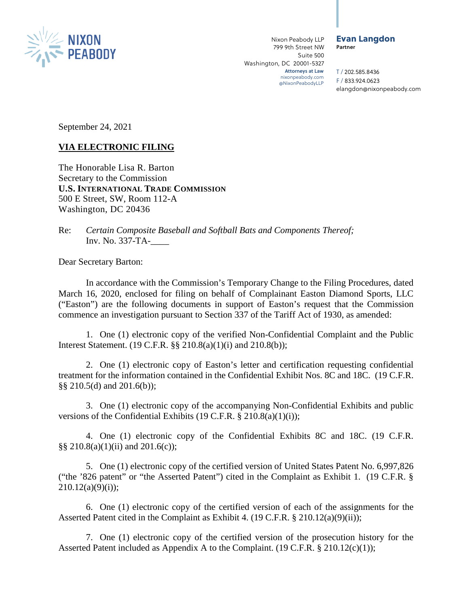

#### Evan Langdon Partner

T / 202.585.8436 F / 833.924.0623 elangdon@nixonpeabody.com

September 24, 2021

# **VIA ELECTRONIC FILING**

The Honorable Lisa R. Barton Secretary to the Commission **U.S. INTERNATIONAL TRADE COMMISSION** 500 E Street, SW, Room 112-A Washington, DC 20436

Re: *Certain Composite Baseball and Softball Bats and Components Thereof;*  Inv. No. 337-TA-\_\_\_\_

Dear Secretary Barton:

In accordance with the Commission's Temporary Change to the Filing Procedures, dated March 16, 2020, enclosed for filing on behalf of Complainant Easton Diamond Sports, LLC ("Easton") are the following documents in support of Easton's request that the Commission commence an investigation pursuant to Section 337 of the Tariff Act of 1930, as amended:

1. One (1) electronic copy of the verified Non-Confidential Complaint and the Public Interest Statement. (19 C.F.R. §§ 210.8(a)(1)(i) and 210.8(b));

2. One (1) electronic copy of Easton's letter and certification requesting confidential treatment for the information contained in the Confidential Exhibit Nos. 8C and 18C. (19 C.F.R. §§ 210.5(d) and 201.6(b));

3. One (1) electronic copy of the accompanying Non-Confidential Exhibits and public versions of the Confidential Exhibits (19 C.F.R. § 210.8(a)(1)(i));

4. One (1) electronic copy of the Confidential Exhibits 8C and 18C. (19 C.F.R. §§ 210.8(a)(1)(ii) and 201.6(c));

5. One (1) electronic copy of the certified version of United States Patent No. 6,997,826 ("the '826 patent" or "the Asserted Patent") cited in the Complaint as Exhibit 1. (19 C.F.R. §  $210.12(a)(9)(i)$ ;

6. One (1) electronic copy of the certified version of each of the assignments for the Asserted Patent cited in the Complaint as Exhibit 4. (19 C.F.R. § 210.12(a)(9)(ii));

7. One (1) electronic copy of the certified version of the prosecution history for the Asserted Patent included as Appendix A to the Complaint. (19 C.F.R. § 210.12(c)(1));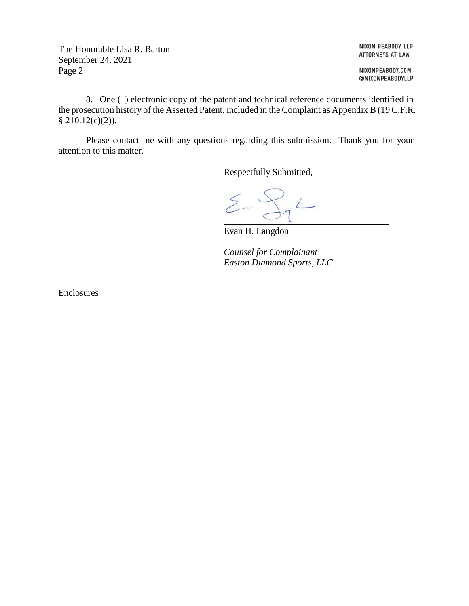The Honorable Lisa R. Barton September 24, 2021 Page 2

NIXON PEABODY LLP ATTORNEYS AT LAW

NIXONPEABODY.COM @NIXONPEABODYLLP

8. One (1) electronic copy of the patent and technical reference documents identified in the prosecution history of the Asserted Patent, included in the Complaint as Appendix B (19 C.F.R.  $$210.12(c)(2)$ ).

Please contact me with any questions regarding this submission. Thank you for your attention to this matter.

Respectfully Submitted,

 $\sum_{0}^{n}$  $\begin{picture}(220,20) \put(0,0){\dashbox{0.5}(5,0){ }} \thicklines \put(0,0){\dashbox{0.5}(5,0){ }} \thicklines \put(0,0){\dashbox{0.5}(5,0){ }} \thicklines \put(0,0){\dashbox{0.5}(5,0){ }} \thicklines \put(0,0){\dashbox{0.5}(5,0){ }} \thicklines \put(0,0){\dashbox{0.5}(5,0){ }} \thicklines \put(0,0){\dashbox{0.5}(5,0){ }} \thicklines \put(0,0){\dashbox{0.5}(5,0){ }} \thicklines \put(0,0){\dashbox{0.5}(5$ 

Evan H. Langdon

*Counsel for Complainant Easton Diamond Sports, LLC* 

Enclosures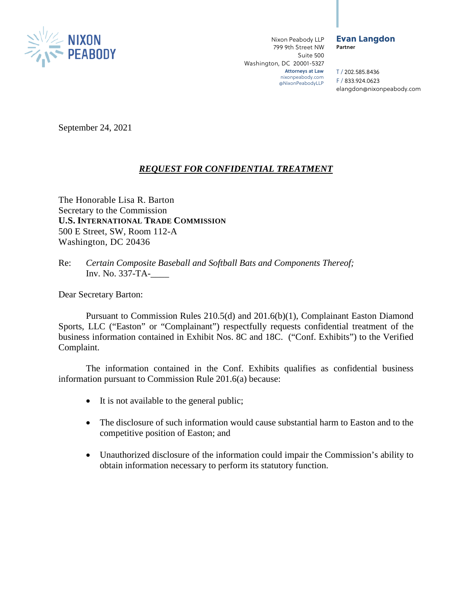

#### Evan Langdon Partner

T / 202.585.8436 F / 833.924.0623 elangdon@nixonpeabody.com

September 24, 2021

## *REQUEST FOR CONFIDENTIAL TREATMENT*

The Honorable Lisa R. Barton Secretary to the Commission **U.S. INTERNATIONAL TRADE COMMISSION** 500 E Street, SW, Room 112-A Washington, DC 20436

Re: *Certain Composite Baseball and Softball Bats and Components Thereof;*  Inv. No. 337-TA-\_\_\_\_

Dear Secretary Barton:

Pursuant to Commission Rules 210.5(d) and 201.6(b)(1), Complainant Easton Diamond Sports, LLC ("Easton" or "Complainant") respectfully requests confidential treatment of the business information contained in Exhibit Nos. 8C and 18C. ("Conf. Exhibits") to the Verified Complaint.

The information contained in the Conf. Exhibits qualifies as confidential business information pursuant to Commission Rule 201.6(a) because:

- It is not available to the general public;
- The disclosure of such information would cause substantial harm to Easton and to the competitive position of Easton; and
- Unauthorized disclosure of the information could impair the Commission's ability to obtain information necessary to perform its statutory function.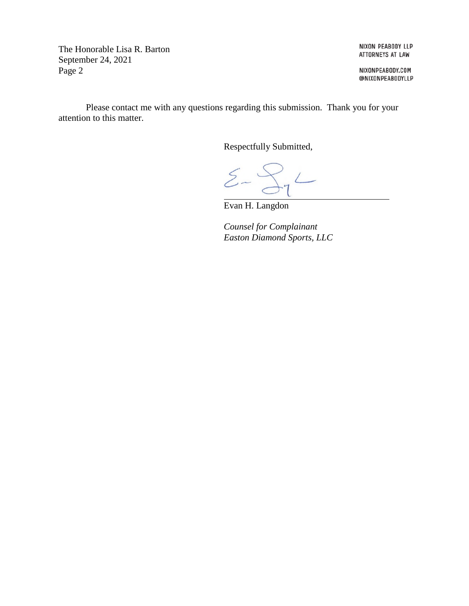The Honorable Lisa R. Barton September 24, 2021 Page 2

NIXON PEABODY LLP ATTORNEYS AT LAW

NIXONPEABODY.COM @NIXONPEABODYLLP

Please contact me with any questions regarding this submission. Thank you for your attention to this matter.

Respectfully Submitted,

 $\Sigma$ - $S_{7}$ 

Evan H. Langdon

*Counsel for Complainant Easton Diamond Sports, LLC*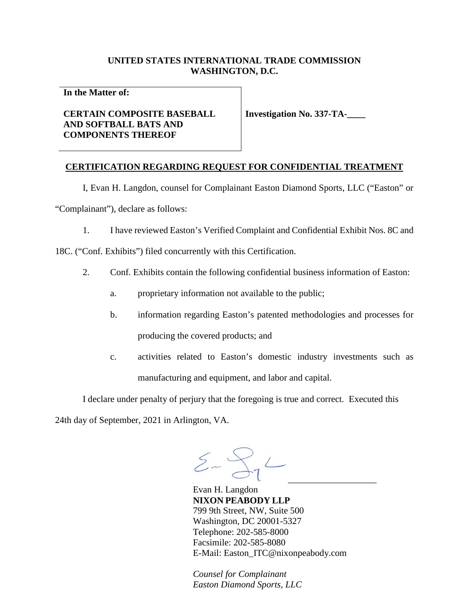## **UNITED STATES INTERNATIONAL TRADE COMMISSION WASHINGTON, D.C.**

**In the Matter of:** 

## **CERTAIN COMPOSITE BASEBALL AND SOFTBALL BATS AND COMPONENTS THEREOF**

**Investigation No. 337-TA-\_\_\_\_** 

## **CERTIFICATION REGARDING REQUEST FOR CONFIDENTIAL TREATMENT**

I, Evan H. Langdon, counsel for Complainant Easton Diamond Sports, LLC ("Easton" or "Complainant"), declare as follows:

1. I have reviewed Easton's Verified Complaint and Confidential Exhibit Nos. 8C and

18C. ("Conf. Exhibits") filed concurrently with this Certification.

- 2. Conf. Exhibits contain the following confidential business information of Easton:
	- a. proprietary information not available to the public;
	- b. information regarding Easton's patented methodologies and processes for producing the covered products; and
	- c. activities related to Easton's domestic industry investments such as manufacturing and equipment, and labor and capital.

I declare under penalty of perjury that the foregoing is true and correct. Executed this

24th day of September, 2021 in Arlington, VA.

 $\Sigma - \bigcap_{i=1}^n L_i$ 

Evan H. Langdon **NIXON PEABODY LLP**  799 9th Street, NW, Suite 500 Washington, DC 20001-5327 Telephone: 202-585-8000 Facsimile: 202-585-8080 E-Mail: Easton\_ITC@nixonpeabody.com

*Counsel for Complainant Easton Diamond Sports, LLC*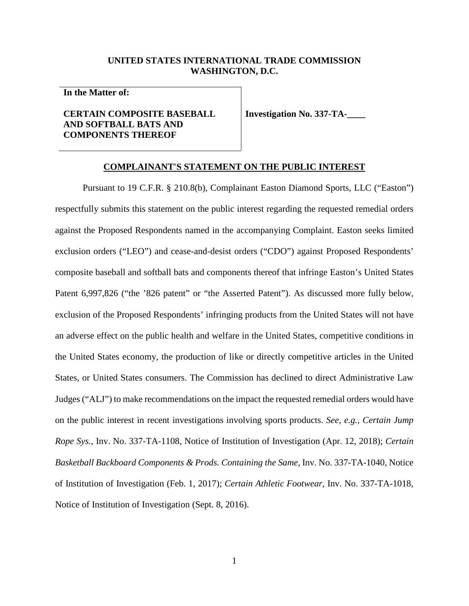### **UNITED STATES INTERNATIONAL TRADE COMMISSION WASHINGTON, D.C.**

**In the Matter of:** 

## **CERTAIN COMPOSITE BASEBALL AND SOFTBALL BATS AND COMPONENTS THEREOF**

**Investigation No. 337-TA-\_\_\_\_** 

#### **COMPLAINANT'S STATEMENT ON THE PUBLIC INTEREST**

Pursuant to 19 C.F.R. § 210.8(b), Complainant Easton Diamond Sports, LLC ("Easton") respectfully submits this statement on the public interest regarding the requested remedial orders against the Proposed Respondents named in the accompanying Complaint. Easton seeks limited exclusion orders ("LEO") and cease-and-desist orders ("CDO") against Proposed Respondents' composite baseball and softball bats and components thereof that infringe Easton's United States Patent 6,997,826 ("the '826 patent" or "the Asserted Patent"). As discussed more fully below, exclusion of the Proposed Respondents' infringing products from the United States will not have an adverse effect on the public health and welfare in the United States, competitive conditions in the United States economy, the production of like or directly competitive articles in the United States, or United States consumers. The Commission has declined to direct Administrative Law Judges ("ALJ") to make recommendations on the impact the requested remedial orders would have on the public interest in recent investigations involving sports products. *See, e.g., Certain Jump Rope Sys.*, Inv. No. 337-TA-1108, Notice of Institution of Investigation (Apr. 12, 2018); *Certain Basketball Backboard Components & Prods. Containing the Same*, Inv. No. 337-TA-1040, Notice of Institution of Investigation (Feb. 1, 2017); *Certain Athletic Footwear*, Inv. No. 337-TA-1018, Notice of Institution of Investigation (Sept. 8, 2016).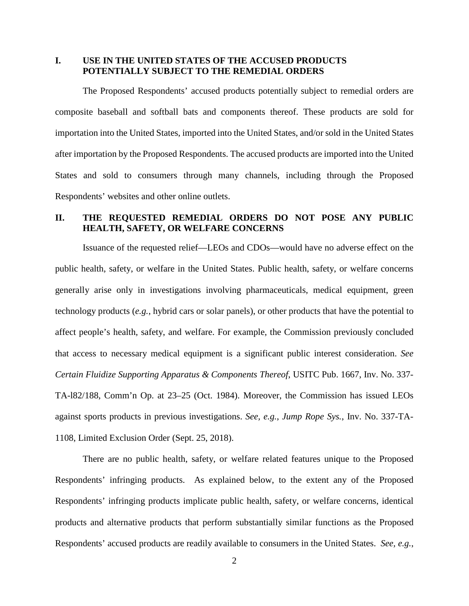## **I. USE IN THE UNITED STATES OF THE ACCUSED PRODUCTS POTENTIALLY SUBJECT TO THE REMEDIAL ORDERS**

The Proposed Respondents' accused products potentially subject to remedial orders are composite baseball and softball bats and components thereof. These products are sold for importation into the United States, imported into the United States, and/or sold in the United States after importation by the Proposed Respondents. The accused products are imported into the United States and sold to consumers through many channels, including through the Proposed Respondents' websites and other online outlets.

## **II. THE REQUESTED REMEDIAL ORDERS DO NOT POSE ANY PUBLIC HEALTH, SAFETY, OR WELFARE CONCERNS**

Issuance of the requested relief—LEOs and CDOs—would have no adverse effect on the public health, safety, or welfare in the United States. Public health, safety, or welfare concerns generally arise only in investigations involving pharmaceuticals, medical equipment, green technology products (*e.g.*, hybrid cars or solar panels), or other products that have the potential to affect people's health, safety, and welfare. For example, the Commission previously concluded that access to necessary medical equipment is a significant public interest consideration. *See Certain Fluidize Supporting Apparatus & Components Thereof*, USITC Pub. 1667, Inv. No. 337- TA-l82/188, Comm'n Op. at 23–25 (Oct. 1984). Moreover, the Commission has issued LEOs against sports products in previous investigations. *See, e.g.*, *Jump Rope Sys.*, Inv. No. 337-TA-1108, Limited Exclusion Order (Sept. 25, 2018).

There are no public health, safety, or welfare related features unique to the Proposed Respondents' infringing products. As explained below, to the extent any of the Proposed Respondents' infringing products implicate public health, safety, or welfare concerns, identical products and alternative products that perform substantially similar functions as the Proposed Respondents' accused products are readily available to consumers in the United States. *See, e.g.*,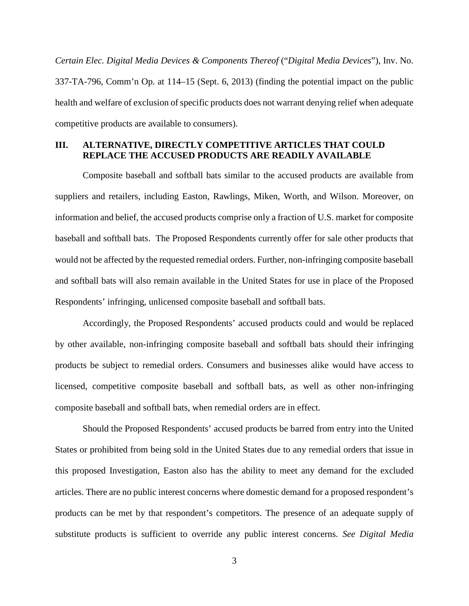*Certain Elec. Digital Media Devices & Components Thereof* ("*Digital Media Devices*"), Inv. No. 337-TA-796, Comm'n Op. at 114–15 (Sept. 6, 2013) (finding the potential impact on the public health and welfare of exclusion of specific products does not warrant denying relief when adequate competitive products are available to consumers).

## **III. ALTERNATIVE, DIRECTLY COMPETITIVE ARTICLES THAT COULD REPLACE THE ACCUSED PRODUCTS ARE READILY AVAILABLE**

Composite baseball and softball bats similar to the accused products are available from suppliers and retailers, including Easton, Rawlings, Miken, Worth, and Wilson. Moreover, on information and belief, the accused products comprise only a fraction of U.S. market for composite baseball and softball bats. The Proposed Respondents currently offer for sale other products that would not be affected by the requested remedial orders. Further, non-infringing composite baseball and softball bats will also remain available in the United States for use in place of the Proposed Respondents' infringing, unlicensed composite baseball and softball bats.

Accordingly, the Proposed Respondents' accused products could and would be replaced by other available, non-infringing composite baseball and softball bats should their infringing products be subject to remedial orders. Consumers and businesses alike would have access to licensed, competitive composite baseball and softball bats, as well as other non-infringing composite baseball and softball bats, when remedial orders are in effect.

Should the Proposed Respondents' accused products be barred from entry into the United States or prohibited from being sold in the United States due to any remedial orders that issue in this proposed Investigation, Easton also has the ability to meet any demand for the excluded articles. There are no public interest concerns where domestic demand for a proposed respondent's products can be met by that respondent's competitors. The presence of an adequate supply of substitute products is sufficient to override any public interest concerns. *See Digital Media*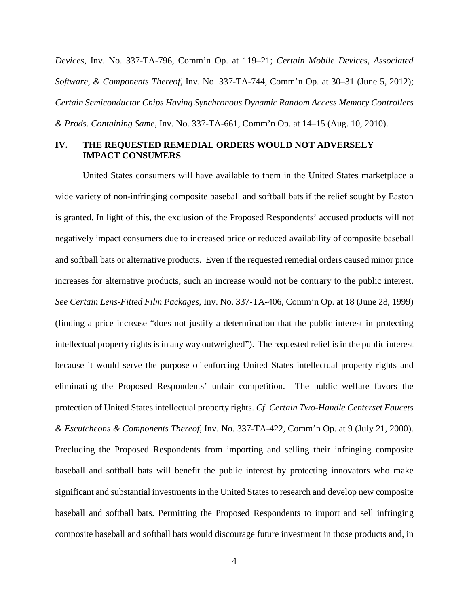*Devices*, Inv. No. 337-TA-796, Comm'n Op. at 119–21; *Certain Mobile Devices, Associated Software, & Components Thereof*, Inv. No. 337-TA-744, Comm'n Op. at 30–31 (June 5, 2012); *Certain Semiconductor Chips Having Synchronous Dynamic Random Access Memory Controllers & Prods. Containing Same*, Inv. No. 337-TA-661, Comm'n Op. at 14–15 (Aug. 10, 2010).

## **IV. THE REQUESTED REMEDIAL ORDERS WOULD NOT ADVERSELY IMPACT CONSUMERS**

United States consumers will have available to them in the United States marketplace a wide variety of non-infringing composite baseball and softball bats if the relief sought by Easton is granted. In light of this, the exclusion of the Proposed Respondents' accused products will not negatively impact consumers due to increased price or reduced availability of composite baseball and softball bats or alternative products. Even if the requested remedial orders caused minor price increases for alternative products, such an increase would not be contrary to the public interest. *See Certain Lens-Fitted Film Packages*, Inv. No. 337-TA-406, Comm'n Op. at 18 (June 28, 1999) (finding a price increase "does not justify a determination that the public interest in protecting intellectual property rights is in any way outweighed"). The requested relief is in the public interest because it would serve the purpose of enforcing United States intellectual property rights and eliminating the Proposed Respondents' unfair competition. The public welfare favors the protection of United States intellectual property rights. *Cf*. *Certain Two-Handle Centerset Faucets & Escutcheons & Components Thereof*, Inv. No. 337-TA-422, Comm'n Op. at 9 (July 21, 2000). Precluding the Proposed Respondents from importing and selling their infringing composite baseball and softball bats will benefit the public interest by protecting innovators who make significant and substantial investments in the United States to research and develop new composite baseball and softball bats. Permitting the Proposed Respondents to import and sell infringing composite baseball and softball bats would discourage future investment in those products and, in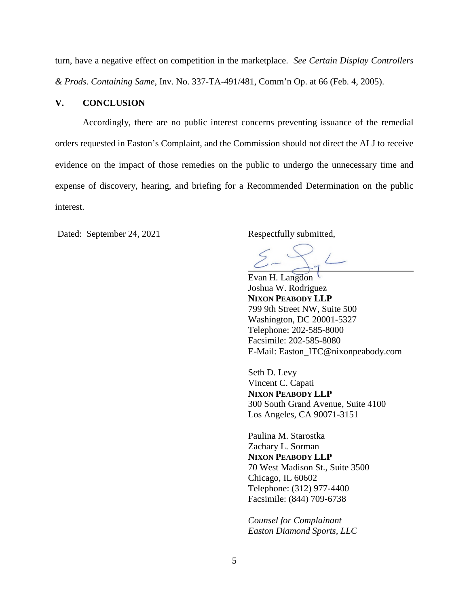turn, have a negative effect on competition in the marketplace. *See Certain Display Controllers & Prods. Containing Same*, Inv. No. 337-TA-491/481, Comm'n Op. at 66 (Feb. 4, 2005).

## **V. CONCLUSION**

Accordingly, there are no public interest concerns preventing issuance of the remedial orders requested in Easton's Complaint, and the Commission should not direct the ALJ to receive evidence on the impact of those remedies on the public to undergo the unnecessary time and expense of discovery, hearing, and briefing for a Recommended Determination on the public interest.

Dated: September 24, 2021 Respectfully submitted,

Evan H. Langdon Joshua W. Rodriguez **NIXON PEABODY LLP**  799 9th Street NW, Suite 500 Washington, DC 20001-5327 Telephone: 202-585-8000 Facsimile: 202-585-8080 E-Mail: Easton\_ITC@nixonpeabody.com

Seth D. Levy Vincent C. Capati **NIXON PEABODY LLP**  300 South Grand Avenue, Suite 4100 Los Angeles, CA 90071-3151

Paulina M. Starostka Zachary L. Sorman **NIXON PEABODY LLP**  70 West Madison St., Suite 3500 Chicago, IL 60602 Telephone: (312) 977-4400 Facsimile: (844) 709-6738

*Counsel for Complainant Easton Diamond Sports, LLC*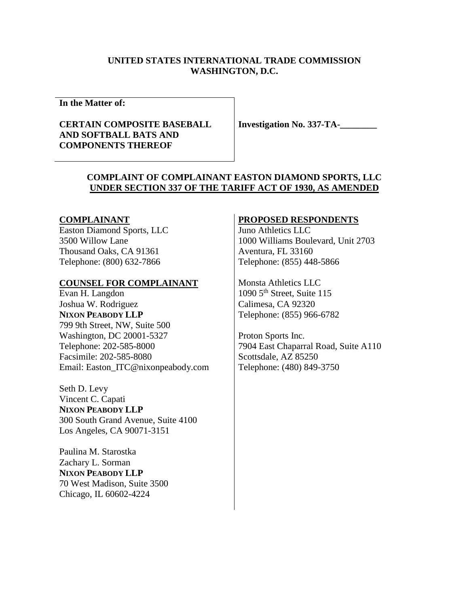## **UNITED STATES INTERNATIONAL TRADE COMMISSION WASHINGTON, D.C.**

**In the Matter of:** 

## **CERTAIN COMPOSITE BASEBALL AND SOFTBALL BATS AND COMPONENTS THEREOF**

**Investigation No. 337-TA-\_\_\_\_\_\_\_\_** 

## **COMPLAINT OF COMPLAINANT EASTON DIAMOND SPORTS, LLC UNDER SECTION 337 OF THE TARIFF ACT OF 1930, AS AMENDED**

#### **COMPLAINANT**

Easton Diamond Sports, LLC 3500 Willow Lane Thousand Oaks, CA 91361 Telephone: (800) 632-7866

#### **COUNSEL FOR COMPLAINANT**

Evan H. Langdon Joshua W. Rodriguez **NIXON PEABODY LLP**  799 9th Street, NW, Suite 500 Washington, DC 20001-5327 Telephone: 202-585-8000 Facsimile: 202-585-8080 Email: Easton\_ITC@nixonpeabody.com

Seth D. Levy Vincent C. Capati **NIXON PEABODY LLP**  300 South Grand Avenue, Suite 4100 Los Angeles, CA 90071-3151

Paulina M. Starostka Zachary L. Sorman **NIXON PEABODY LLP**  70 West Madison, Suite 3500 Chicago, IL 60602-4224

## **PROPOSED RESPONDENTS**

Juno Athletics LLC 1000 Williams Boulevard, Unit 2703 Aventura, FL 33160 Telephone: (855) 448-5866

Monsta Athletics LLC 1090 5th Street, Suite 115 Calimesa, CA 92320 Telephone: (855) 966-6782

Proton Sports Inc. 7904 East Chaparral Road, Suite A110 Scottsdale, AZ 85250 Telephone: (480) 849-3750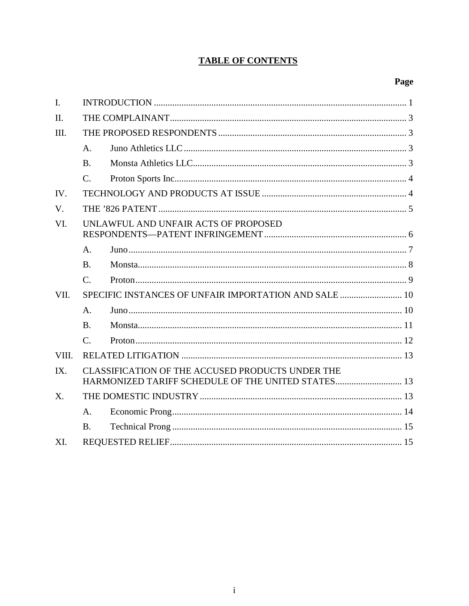## **TABLE OF CONTENTS**

# Page

| $\mathbf{I}$ . |                                                                                                        |  |  |
|----------------|--------------------------------------------------------------------------------------------------------|--|--|
| $\Pi$ .        |                                                                                                        |  |  |
| III.           |                                                                                                        |  |  |
|                | $A_{\cdot}$                                                                                            |  |  |
|                | B.                                                                                                     |  |  |
|                | $C_{\cdot}$                                                                                            |  |  |
| IV.            |                                                                                                        |  |  |
| $V_{\cdot}$    |                                                                                                        |  |  |
| VI.            | UNLAWFUL AND UNFAIR ACTS OF PROPOSED                                                                   |  |  |
|                | A <sub>1</sub>                                                                                         |  |  |
|                | <b>B.</b>                                                                                              |  |  |
|                | $C_{\cdot}$                                                                                            |  |  |
| VII.           |                                                                                                        |  |  |
|                | A <sub>1</sub>                                                                                         |  |  |
|                | $\mathbf{B}$ .                                                                                         |  |  |
|                | $\mathcal{C}$ .                                                                                        |  |  |
| VIII.          |                                                                                                        |  |  |
| IX.            | CLASSIFICATION OF THE ACCUSED PRODUCTS UNDER THE<br>HARMONIZED TARIFF SCHEDULE OF THE UNITED STATES 13 |  |  |
| $X_{\cdot}$    |                                                                                                        |  |  |
|                | A <sub>1</sub>                                                                                         |  |  |
|                | <b>B.</b>                                                                                              |  |  |
| XI.            |                                                                                                        |  |  |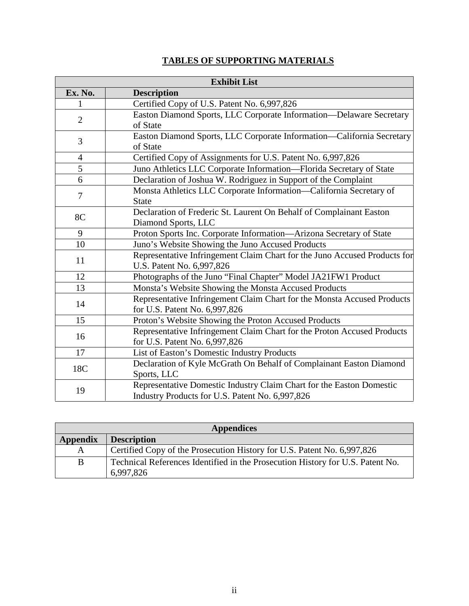## **TABLES OF SUPPORTING MATERIALS**

| <b>Exhibit List</b> |                                                                                                                         |  |  |  |
|---------------------|-------------------------------------------------------------------------------------------------------------------------|--|--|--|
| Ex. No.             | <b>Description</b>                                                                                                      |  |  |  |
| 1                   | Certified Copy of U.S. Patent No. 6,997,826                                                                             |  |  |  |
| $\overline{2}$      | Easton Diamond Sports, LLC Corporate Information-Delaware Secretary<br>of State                                         |  |  |  |
| 3                   | Easton Diamond Sports, LLC Corporate Information-California Secretary<br>of State                                       |  |  |  |
| $\overline{4}$      | Certified Copy of Assignments for U.S. Patent No. 6,997,826                                                             |  |  |  |
| $\overline{5}$      | Juno Athletics LLC Corporate Information-Florida Secretary of State                                                     |  |  |  |
| 6                   | Declaration of Joshua W. Rodriguez in Support of the Complaint                                                          |  |  |  |
| 7                   | Monsta Athletics LLC Corporate Information-California Secretary of<br><b>State</b>                                      |  |  |  |
| 8C                  | Declaration of Frederic St. Laurent On Behalf of Complainant Easton<br>Diamond Sports, LLC                              |  |  |  |
| 9                   | Proton Sports Inc. Corporate Information-Arizona Secretary of State                                                     |  |  |  |
| 10                  | Juno's Website Showing the Juno Accused Products                                                                        |  |  |  |
| 11                  | Representative Infringement Claim Chart for the Juno Accused Products for<br>U.S. Patent No. 6,997,826                  |  |  |  |
| 12                  | Photographs of the Juno "Final Chapter" Model JA21FW1 Product                                                           |  |  |  |
| 13                  | Monsta's Website Showing the Monsta Accused Products                                                                    |  |  |  |
| 14                  | Representative Infringement Claim Chart for the Monsta Accused Products<br>for U.S. Patent No. 6,997,826                |  |  |  |
| 15                  | Proton's Website Showing the Proton Accused Products                                                                    |  |  |  |
| 16                  | Representative Infringement Claim Chart for the Proton Accused Products<br>for U.S. Patent No. 6,997,826                |  |  |  |
| 17                  | List of Easton's Domestic Industry Products                                                                             |  |  |  |
| 18C                 | Declaration of Kyle McGrath On Behalf of Complainant Easton Diamond<br>Sports, LLC                                      |  |  |  |
| 19                  | Representative Domestic Industry Claim Chart for the Easton Domestic<br>Industry Products for U.S. Patent No. 6,997,826 |  |  |  |

| <b>Appendices</b>                                                                           |  |  |  |  |
|---------------------------------------------------------------------------------------------|--|--|--|--|
| <b>Description</b>                                                                          |  |  |  |  |
| Certified Copy of the Prosecution History for U.S. Patent No. 6,997,826                     |  |  |  |  |
| Technical References Identified in the Prosecution History for U.S. Patent No.<br>6,997,826 |  |  |  |  |
|                                                                                             |  |  |  |  |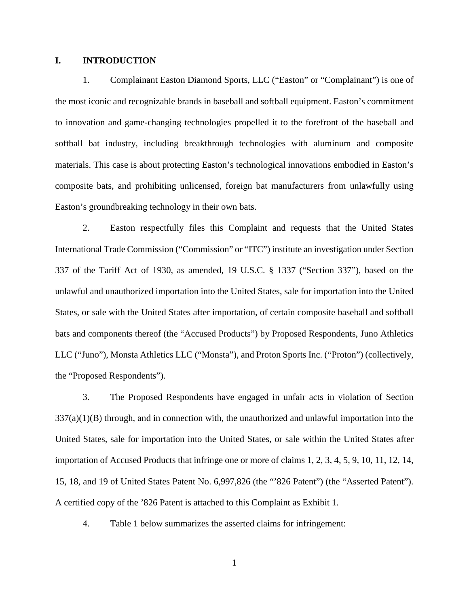### **I. INTRODUCTION**

1. Complainant Easton Diamond Sports, LLC ("Easton" or "Complainant") is one of the most iconic and recognizable brands in baseball and softball equipment. Easton's commitment to innovation and game-changing technologies propelled it to the forefront of the baseball and softball bat industry, including breakthrough technologies with aluminum and composite materials. This case is about protecting Easton's technological innovations embodied in Easton's composite bats, and prohibiting unlicensed, foreign bat manufacturers from unlawfully using Easton's groundbreaking technology in their own bats.

2. Easton respectfully files this Complaint and requests that the United States International Trade Commission ("Commission" or "ITC") institute an investigation under Section 337 of the Tariff Act of 1930, as amended, 19 U.S.C. § 1337 ("Section 337"), based on the unlawful and unauthorized importation into the United States, sale for importation into the United States, or sale with the United States after importation, of certain composite baseball and softball bats and components thereof (the "Accused Products") by Proposed Respondents, Juno Athletics LLC ("Juno"), Monsta Athletics LLC ("Monsta"), and Proton Sports Inc. ("Proton") (collectively, the "Proposed Respondents").

3. The Proposed Respondents have engaged in unfair acts in violation of Section  $337(a)(1)(B)$  through, and in connection with, the unauthorized and unlawful importation into the United States, sale for importation into the United States, or sale within the United States after importation of Accused Products that infringe one or more of claims 1, 2, 3, 4, 5, 9, 10, 11, 12, 14, 15, 18, and 19 of United States Patent No. 6,997,826 (the "'826 Patent") (the "Asserted Patent"). A certified copy of the '826 Patent is attached to this Complaint as Exhibit 1.

4. Table 1 below summarizes the asserted claims for infringement: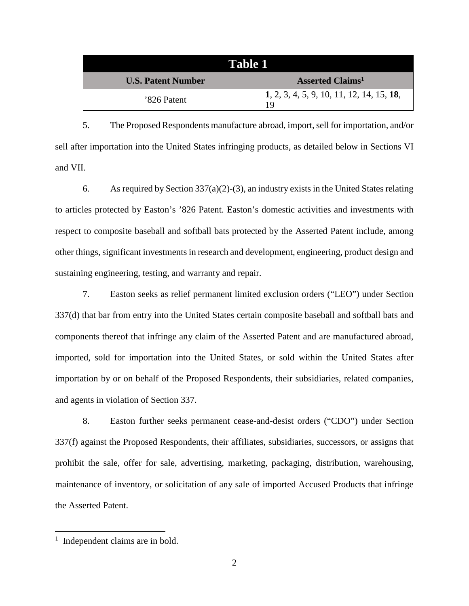| Table 1                   |                                                 |  |  |
|---------------------------|-------------------------------------------------|--|--|
| <b>U.S. Patent Number</b> | <b>Asserted Claims</b> <sup>1</sup>             |  |  |
| '826 Patent               | 1, 2, 3, 4, 5, 9, 10, 11, 12, 14, 15, 18,<br>19 |  |  |

5. The Proposed Respondents manufacture abroad, import, sell for importation, and/or sell after importation into the United States infringing products, as detailed below in Sections VI and VII.

6. As required by Section 337(a)(2)-(3), an industry exists in the United States relating to articles protected by Easton's '826 Patent. Easton's domestic activities and investments with respect to composite baseball and softball bats protected by the Asserted Patent include, among other things, significant investments in research and development, engineering, product design and sustaining engineering, testing, and warranty and repair.

7. Easton seeks as relief permanent limited exclusion orders ("LEO") under Section 337(d) that bar from entry into the United States certain composite baseball and softball bats and components thereof that infringe any claim of the Asserted Patent and are manufactured abroad, imported, sold for importation into the United States, or sold within the United States after importation by or on behalf of the Proposed Respondents, their subsidiaries, related companies, and agents in violation of Section 337.

8. Easton further seeks permanent cease-and-desist orders ("CDO") under Section 337(f) against the Proposed Respondents, their affiliates, subsidiaries, successors, or assigns that prohibit the sale, offer for sale, advertising, marketing, packaging, distribution, warehousing, maintenance of inventory, or solicitation of any sale of imported Accused Products that infringe the Asserted Patent.

<sup>&</sup>lt;sup>1</sup> Independent claims are in bold.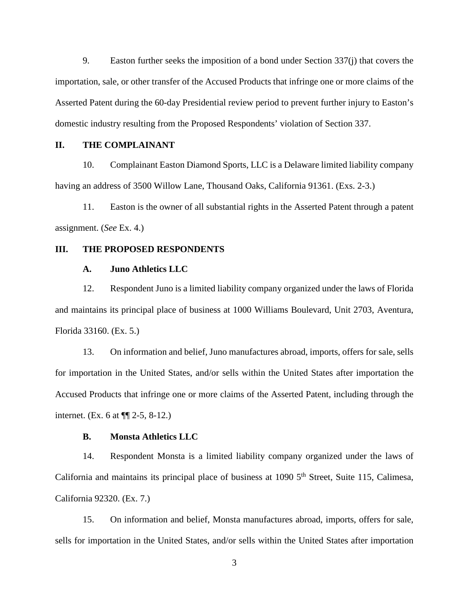9. Easton further seeks the imposition of a bond under Section 337(j) that covers the importation, sale, or other transfer of the Accused Products that infringe one or more claims of the Asserted Patent during the 60-day Presidential review period to prevent further injury to Easton's domestic industry resulting from the Proposed Respondents' violation of Section 337.

## **II. THE COMPLAINANT**

10. Complainant Easton Diamond Sports, LLC is a Delaware limited liability company having an address of 3500 Willow Lane, Thousand Oaks, California 91361. (Exs. 2-3.)

11. Easton is the owner of all substantial rights in the Asserted Patent through a patent assignment. (*See* Ex. 4.)

#### **III. THE PROPOSED RESPONDENTS**

#### **A. Juno Athletics LLC**

12. Respondent Juno is a limited liability company organized under the laws of Florida and maintains its principal place of business at 1000 Williams Boulevard, Unit 2703, Aventura, Florida 33160. (Ex. 5.)

13. On information and belief, Juno manufactures abroad, imports, offers for sale, sells for importation in the United States, and/or sells within the United States after importation the Accused Products that infringe one or more claims of the Asserted Patent, including through the internet. (Ex. 6 at ¶¶ 2-5, 8-12.)

#### **B. Monsta Athletics LLC**

14. Respondent Monsta is a limited liability company organized under the laws of California and maintains its principal place of business at  $1090\,5^{th}$  Street, Suite 115, Calimesa, California 92320. (Ex. 7.)

15. On information and belief, Monsta manufactures abroad, imports, offers for sale, sells for importation in the United States, and/or sells within the United States after importation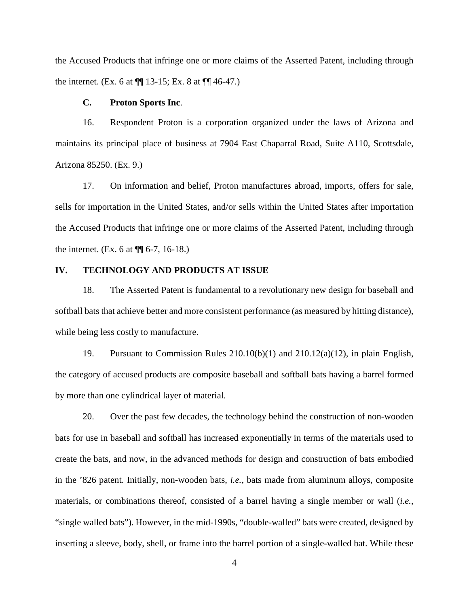the Accused Products that infringe one or more claims of the Asserted Patent, including through the internet. (Ex. 6 at  $\P$ [ 13-15; Ex. 8 at  $\P$ [ 46-47.)

#### **C. Proton Sports Inc**.

16. Respondent Proton is a corporation organized under the laws of Arizona and maintains its principal place of business at 7904 East Chaparral Road, Suite A110, Scottsdale, Arizona 85250. (Ex. 9.)

17. On information and belief, Proton manufactures abroad, imports, offers for sale, sells for importation in the United States, and/or sells within the United States after importation the Accused Products that infringe one or more claims of the Asserted Patent, including through the internet. (Ex. 6 at  $\P$  6-7, 16-18.)

## **IV. TECHNOLOGY AND PRODUCTS AT ISSUE**

18. The Asserted Patent is fundamental to a revolutionary new design for baseball and softball bats that achieve better and more consistent performance (as measured by hitting distance), while being less costly to manufacture.

19. Pursuant to Commission Rules 210.10(b)(1) and 210.12(a)(12), in plain English, the category of accused products are composite baseball and softball bats having a barrel formed by more than one cylindrical layer of material.

20. Over the past few decades, the technology behind the construction of non-wooden bats for use in baseball and softball has increased exponentially in terms of the materials used to create the bats, and now, in the advanced methods for design and construction of bats embodied in the '826 patent. Initially, non-wooden bats, *i.e.*, bats made from aluminum alloys, composite materials, or combinations thereof, consisted of a barrel having a single member or wall (*i.e.*, "single walled bats"). However, in the mid-1990s, "double-walled" bats were created, designed by inserting a sleeve, body, shell, or frame into the barrel portion of a single-walled bat. While these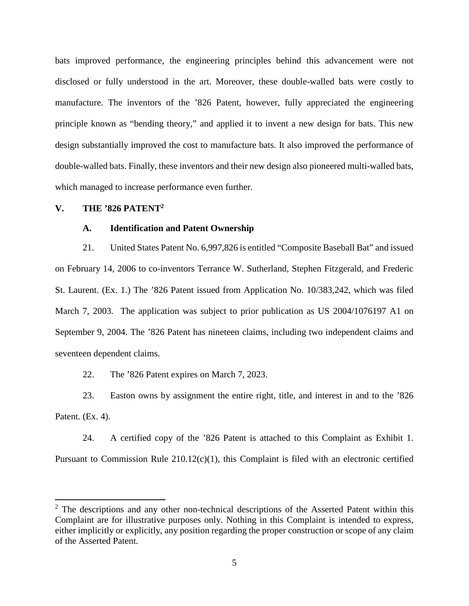bats improved performance, the engineering principles behind this advancement were not disclosed or fully understood in the art. Moreover, these double-walled bats were costly to manufacture. The inventors of the '826 Patent, however, fully appreciated the engineering principle known as "bending theory," and applied it to invent a new design for bats. This new design substantially improved the cost to manufacture bats. It also improved the performance of double-walled bats. Finally, these inventors and their new design also pioneered multi-walled bats, which managed to increase performance even further.

### **V. THE '826 PATENT<sup>2</sup>**

#### **A. Identification and Patent Ownership**

21. United States Patent No. 6,997,826 is entitled "Composite Baseball Bat" and issued on February 14, 2006 to co-inventors Terrance W. Sutherland, Stephen Fitzgerald, and Frederic St. Laurent. (Ex. 1.) The '826 Patent issued from Application No. 10/383,242, which was filed March 7, 2003. The application was subject to prior publication as US 2004/1076197 A1 on September 9, 2004. The '826 Patent has nineteen claims, including two independent claims and seventeen dependent claims.

22. The '826 Patent expires on March 7, 2023.

23. Easton owns by assignment the entire right, title, and interest in and to the '826 Patent. (Ex. 4).

24. A certified copy of the '826 Patent is attached to this Complaint as Exhibit 1. Pursuant to Commission Rule  $210.12(c)(1)$ , this Complaint is filed with an electronic certified

 $2$  The descriptions and any other non-technical descriptions of the Asserted Patent within this Complaint are for illustrative purposes only. Nothing in this Complaint is intended to express, either implicitly or explicitly, any position regarding the proper construction or scope of any claim of the Asserted Patent.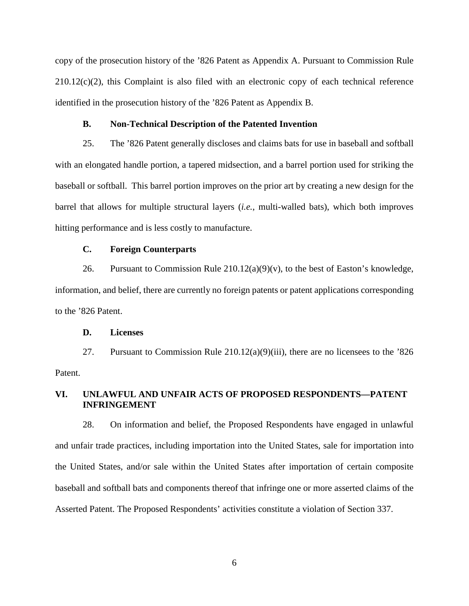copy of the prosecution history of the '826 Patent as Appendix A. Pursuant to Commission Rule 210.12(c)(2), this Complaint is also filed with an electronic copy of each technical reference identified in the prosecution history of the '826 Patent as Appendix B.

#### **B. Non-Technical Description of the Patented Invention**

25. The '826 Patent generally discloses and claims bats for use in baseball and softball with an elongated handle portion, a tapered midsection, and a barrel portion used for striking the baseball or softball. This barrel portion improves on the prior art by creating a new design for the barrel that allows for multiple structural layers (*i.e.*, multi-walled bats), which both improves hitting performance and is less costly to manufacture.

### **C. Foreign Counterparts**

26. Pursuant to Commission Rule  $210.12(a)(9)(v)$ , to the best of Easton's knowledge, information, and belief, there are currently no foreign patents or patent applications corresponding to the '826 Patent.

#### **D. Licenses**

27. Pursuant to Commission Rule 210.12(a)(9)(iii), there are no licensees to the '826 Patent.

## **VI. UNLAWFUL AND UNFAIR ACTS OF PROPOSED RESPONDENTS—PATENT INFRINGEMENT**

28. On information and belief, the Proposed Respondents have engaged in unlawful and unfair trade practices, including importation into the United States, sale for importation into the United States, and/or sale within the United States after importation of certain composite baseball and softball bats and components thereof that infringe one or more asserted claims of the Asserted Patent. The Proposed Respondents' activities constitute a violation of Section 337.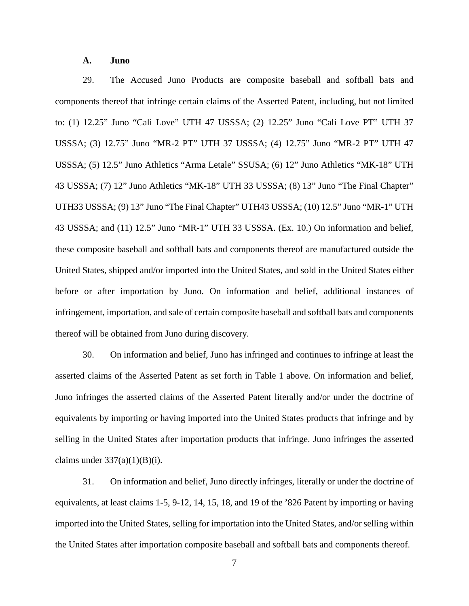#### **A. Juno**

29. The Accused Juno Products are composite baseball and softball bats and components thereof that infringe certain claims of the Asserted Patent, including, but not limited to: (1) 12.25" Juno "Cali Love" UTH 47 USSSA; (2) 12.25" Juno "Cali Love PT" UTH 37 USSSA; (3) 12.75" Juno "MR-2 PT" UTH 37 USSSA; (4) 12.75" Juno "MR-2 PT" UTH 47 USSSA; (5) 12.5" Juno Athletics "Arma Letale" SSUSA; (6) 12" Juno Athletics "MK-18" UTH 43 USSSA; (7) 12" Juno Athletics "MK-18" UTH 33 USSSA; (8) 13" Juno "The Final Chapter" UTH33 USSSA; (9) 13" Juno "The Final Chapter" UTH43 USSSA; (10) 12.5" Juno "MR-1" UTH 43 USSSA; and (11) 12.5" Juno "MR-1" UTH 33 USSSA. (Ex. 10.) On information and belief, these composite baseball and softball bats and components thereof are manufactured outside the United States, shipped and/or imported into the United States, and sold in the United States either before or after importation by Juno. On information and belief, additional instances of infringement, importation, and sale of certain composite baseball and softball bats and components thereof will be obtained from Juno during discovery.

30. On information and belief, Juno has infringed and continues to infringe at least the asserted claims of the Asserted Patent as set forth in Table 1 above. On information and belief, Juno infringes the asserted claims of the Asserted Patent literally and/or under the doctrine of equivalents by importing or having imported into the United States products that infringe and by selling in the United States after importation products that infringe. Juno infringes the asserted claims under  $337(a)(1)(B)(i)$ .

31. On information and belief, Juno directly infringes, literally or under the doctrine of equivalents, at least claims 1-5, 9-12, 14, 15, 18, and 19 of the '826 Patent by importing or having imported into the United States, selling for importation into the United States, and/or selling within the United States after importation composite baseball and softball bats and components thereof.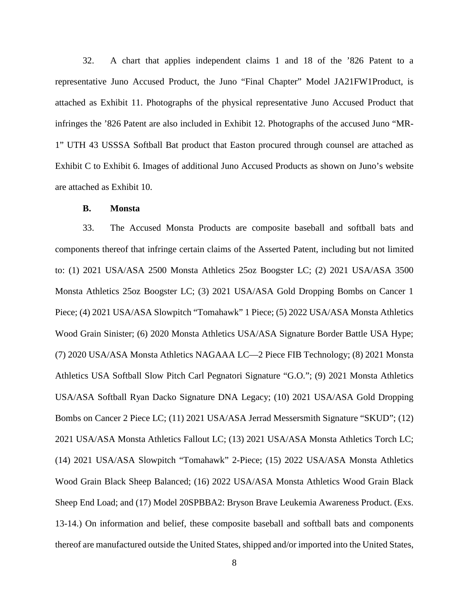32. A chart that applies independent claims 1 and 18 of the '826 Patent to a representative Juno Accused Product, the Juno "Final Chapter" Model JA21FW1Product, is attached as Exhibit 11. Photographs of the physical representative Juno Accused Product that infringes the '826 Patent are also included in Exhibit 12. Photographs of the accused Juno "MR-1" UTH 43 USSSA Softball Bat product that Easton procured through counsel are attached as Exhibit C to Exhibit 6. Images of additional Juno Accused Products as shown on Juno's website are attached as Exhibit 10.

#### **B. Monsta**

33. The Accused Monsta Products are composite baseball and softball bats and components thereof that infringe certain claims of the Asserted Patent, including but not limited to: (1) 2021 USA/ASA 2500 Monsta Athletics 25oz Boogster LC; (2) 2021 USA/ASA 3500 Monsta Athletics 25oz Boogster LC; (3) 2021 USA/ASA Gold Dropping Bombs on Cancer 1 Piece; (4) 2021 USA/ASA Slowpitch "Tomahawk" 1 Piece; (5) 2022 USA/ASA Monsta Athletics Wood Grain Sinister; (6) 2020 Monsta Athletics USA/ASA Signature Border Battle USA Hype; (7) 2020 USA/ASA Monsta Athletics NAGAAA LC—2 Piece FIB Technology; (8) 2021 Monsta Athletics USA Softball Slow Pitch Carl Pegnatori Signature "G.O."; (9) 2021 Monsta Athletics USA/ASA Softball Ryan Dacko Signature DNA Legacy; (10) 2021 USA/ASA Gold Dropping Bombs on Cancer 2 Piece LC; (11) 2021 USA/ASA Jerrad Messersmith Signature "SKUD"; (12) 2021 USA/ASA Monsta Athletics Fallout LC; (13) 2021 USA/ASA Monsta Athletics Torch LC; (14) 2021 USA/ASA Slowpitch "Tomahawk" 2-Piece; (15) 2022 USA/ASA Monsta Athletics Wood Grain Black Sheep Balanced; (16) 2022 USA/ASA Monsta Athletics Wood Grain Black Sheep End Load; and (17) Model 20SPBBA2: Bryson Brave Leukemia Awareness Product. (Exs. 13-14.) On information and belief, these composite baseball and softball bats and components thereof are manufactured outside the United States, shipped and/or imported into the United States,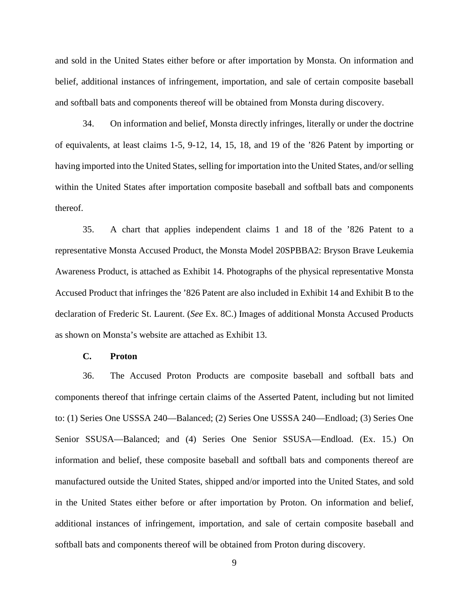and sold in the United States either before or after importation by Monsta. On information and belief, additional instances of infringement, importation, and sale of certain composite baseball and softball bats and components thereof will be obtained from Monsta during discovery.

34. On information and belief, Monsta directly infringes, literally or under the doctrine of equivalents, at least claims 1-5, 9-12, 14, 15, 18, and 19 of the '826 Patent by importing or having imported into the United States, selling for importation into the United States, and/or selling within the United States after importation composite baseball and softball bats and components thereof.

35. A chart that applies independent claims 1 and 18 of the '826 Patent to a representative Monsta Accused Product, the Monsta Model 20SPBBA2: Bryson Brave Leukemia Awareness Product, is attached as Exhibit 14. Photographs of the physical representative Monsta Accused Product that infringes the '826 Patent are also included in Exhibit 14 and Exhibit B to the declaration of Frederic St. Laurent. (*See* Ex. 8C.) Images of additional Monsta Accused Products as shown on Monsta's website are attached as Exhibit 13.

#### **C. Proton**

36. The Accused Proton Products are composite baseball and softball bats and components thereof that infringe certain claims of the Asserted Patent, including but not limited to: (1) Series One USSSA 240—Balanced; (2) Series One USSSA 240—Endload; (3) Series One Senior SSUSA—Balanced; and (4) Series One Senior SSUSA—Endload. (Ex. 15.) On information and belief, these composite baseball and softball bats and components thereof are manufactured outside the United States, shipped and/or imported into the United States, and sold in the United States either before or after importation by Proton. On information and belief, additional instances of infringement, importation, and sale of certain composite baseball and softball bats and components thereof will be obtained from Proton during discovery.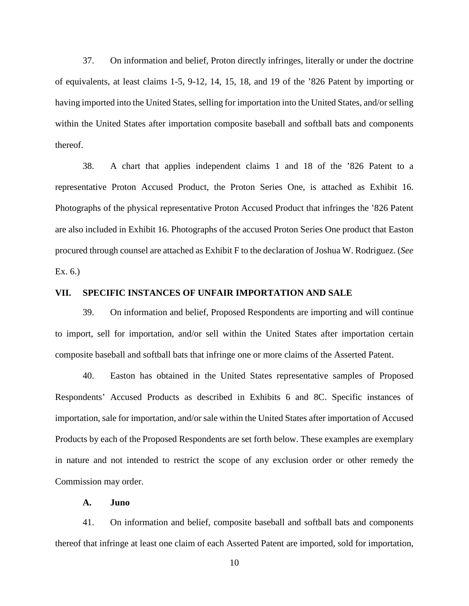37. On information and belief, Proton directly infringes, literally or under the doctrine of equivalents, at least claims 1-5, 9-12, 14, 15, 18, and 19 of the '826 Patent by importing or having imported into the United States, selling for importation into the United States, and/or selling within the United States after importation composite baseball and softball bats and components thereof.

38. A chart that applies independent claims 1 and 18 of the '826 Patent to a representative Proton Accused Product, the Proton Series One, is attached as Exhibit 16. Photographs of the physical representative Proton Accused Product that infringes the '826 Patent are also included in Exhibit 16. Photographs of the accused Proton Series One product that Easton procured through counsel are attached as Exhibit F to the declaration of Joshua W. Rodriguez. (*See*  Ex. 6.)

### **VII. SPECIFIC INSTANCES OF UNFAIR IMPORTATION AND SALE**

39. On information and belief, Proposed Respondents are importing and will continue to import, sell for importation, and/or sell within the United States after importation certain composite baseball and softball bats that infringe one or more claims of the Asserted Patent.

40. Easton has obtained in the United States representative samples of Proposed Respondents' Accused Products as described in Exhibits 6 and 8C. Specific instances of importation, sale for importation, and/or sale within the United States after importation of Accused Products by each of the Proposed Respondents are set forth below. These examples are exemplary in nature and not intended to restrict the scope of any exclusion order or other remedy the Commission may order.

## **A. Juno**

41. On information and belief, composite baseball and softball bats and components thereof that infringe at least one claim of each Asserted Patent are imported, sold for importation,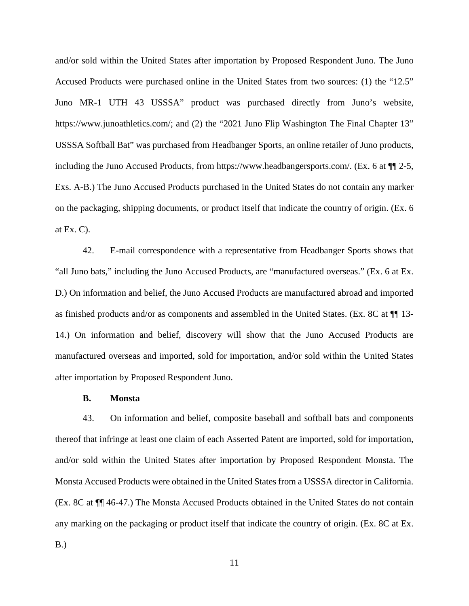and/or sold within the United States after importation by Proposed Respondent Juno. The Juno Accused Products were purchased online in the United States from two sources: (1) the "12.5" Juno MR-1 UTH 43 USSSA" product was purchased directly from Juno's website, https://www.junoathletics.com/; and (2) the "2021 Juno Flip Washington The Final Chapter 13" USSSA Softball Bat" was purchased from Headbanger Sports, an online retailer of Juno products, including the Juno Accused Products, from https://www.headbangersports.com/. (Ex. 6 at ¶¶ 2-5, Exs. A-B.) The Juno Accused Products purchased in the United States do not contain any marker on the packaging, shipping documents, or product itself that indicate the country of origin. (Ex. 6 at Ex.  $C$ ).

42. E-mail correspondence with a representative from Headbanger Sports shows that "all Juno bats," including the Juno Accused Products, are "manufactured overseas." (Ex. 6 at Ex. D.) On information and belief, the Juno Accused Products are manufactured abroad and imported as finished products and/or as components and assembled in the United States. (Ex. 8C at ¶¶ 13- 14.) On information and belief, discovery will show that the Juno Accused Products are manufactured overseas and imported, sold for importation, and/or sold within the United States after importation by Proposed Respondent Juno.

#### **B. Monsta**

43. On information and belief, composite baseball and softball bats and components thereof that infringe at least one claim of each Asserted Patent are imported, sold for importation, and/or sold within the United States after importation by Proposed Respondent Monsta. The Monsta Accused Products were obtained in the United States from a USSSA director in California. (Ex. 8C at ¶¶ 46-47.) The Monsta Accused Products obtained in the United States do not contain any marking on the packaging or product itself that indicate the country of origin. (Ex. 8C at Ex. B.)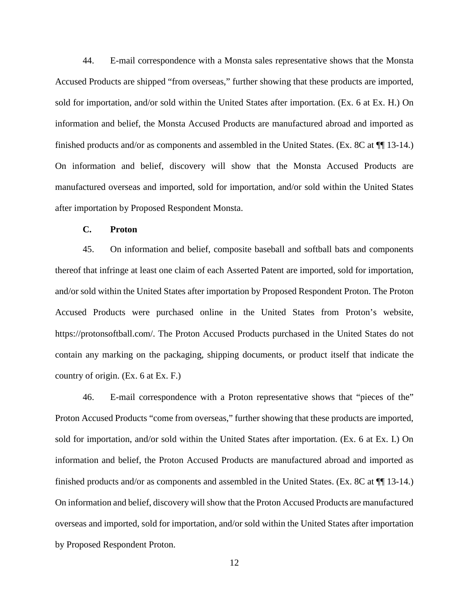44. E-mail correspondence with a Monsta sales representative shows that the Monsta Accused Products are shipped "from overseas," further showing that these products are imported, sold for importation, and/or sold within the United States after importation. (Ex. 6 at Ex. H.) On information and belief, the Monsta Accused Products are manufactured abroad and imported as finished products and/or as components and assembled in the United States. (Ex. 8C at  $\P$  13-14.) On information and belief, discovery will show that the Monsta Accused Products are manufactured overseas and imported, sold for importation, and/or sold within the United States after importation by Proposed Respondent Monsta.

## **C. Proton**

45. On information and belief, composite baseball and softball bats and components thereof that infringe at least one claim of each Asserted Patent are imported, sold for importation, and/or sold within the United States after importation by Proposed Respondent Proton. The Proton Accused Products were purchased online in the United States from Proton's website, https://protonsoftball.com/. The Proton Accused Products purchased in the United States do not contain any marking on the packaging, shipping documents, or product itself that indicate the country of origin. (Ex. 6 at Ex. F.)

46. E-mail correspondence with a Proton representative shows that "pieces of the" Proton Accused Products "come from overseas," further showing that these products are imported, sold for importation, and/or sold within the United States after importation. (Ex. 6 at Ex. I.) On information and belief, the Proton Accused Products are manufactured abroad and imported as finished products and/or as components and assembled in the United States. (Ex. 8C at ¶¶ 13-14.) On information and belief, discovery will show that the Proton Accused Products are manufactured overseas and imported, sold for importation, and/or sold within the United States after importation by Proposed Respondent Proton.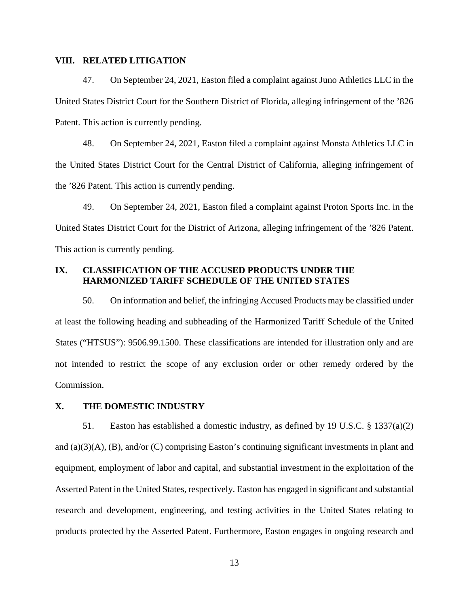#### **VIII. RELATED LITIGATION**

47. On September 24, 2021, Easton filed a complaint against Juno Athletics LLC in the United States District Court for the Southern District of Florida, alleging infringement of the '826 Patent. This action is currently pending.

48. On September 24, 2021, Easton filed a complaint against Monsta Athletics LLC in the United States District Court for the Central District of California, alleging infringement of the '826 Patent. This action is currently pending.

49. On September 24, 2021, Easton filed a complaint against Proton Sports Inc. in the United States District Court for the District of Arizona, alleging infringement of the '826 Patent. This action is currently pending.

## **IX. CLASSIFICATION OF THE ACCUSED PRODUCTS UNDER THE HARMONIZED TARIFF SCHEDULE OF THE UNITED STATES**

50. On information and belief, the infringing Accused Products may be classified under at least the following heading and subheading of the Harmonized Tariff Schedule of the United States ("HTSUS"): 9506.99.1500. These classifications are intended for illustration only and are not intended to restrict the scope of any exclusion order or other remedy ordered by the Commission.

## **X. THE DOMESTIC INDUSTRY**

51. Easton has established a domestic industry, as defined by 19 U.S.C. § 1337(a)(2) and (a)(3)(A), (B), and/or (C) comprising Easton's continuing significant investments in plant and equipment, employment of labor and capital, and substantial investment in the exploitation of the Asserted Patent in the United States, respectively. Easton has engaged in significant and substantial research and development, engineering, and testing activities in the United States relating to products protected by the Asserted Patent. Furthermore, Easton engages in ongoing research and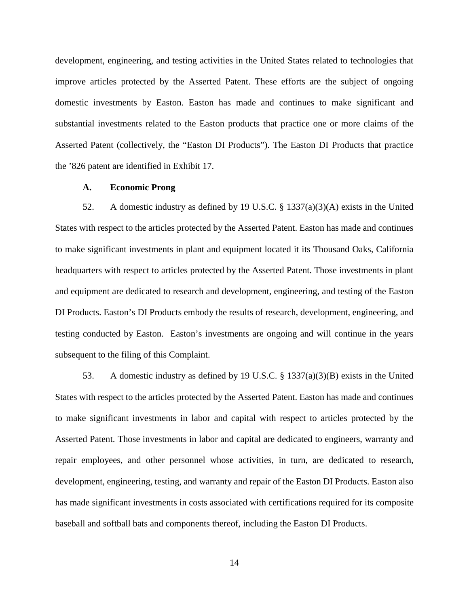development, engineering, and testing activities in the United States related to technologies that improve articles protected by the Asserted Patent. These efforts are the subject of ongoing domestic investments by Easton. Easton has made and continues to make significant and substantial investments related to the Easton products that practice one or more claims of the Asserted Patent (collectively, the "Easton DI Products"). The Easton DI Products that practice the '826 patent are identified in Exhibit 17.

#### **A. Economic Prong**

52. A domestic industry as defined by 19 U.S.C. § 1337(a)(3)(A) exists in the United States with respect to the articles protected by the Asserted Patent. Easton has made and continues to make significant investments in plant and equipment located it its Thousand Oaks, California headquarters with respect to articles protected by the Asserted Patent. Those investments in plant and equipment are dedicated to research and development, engineering, and testing of the Easton DI Products. Easton's DI Products embody the results of research, development, engineering, and testing conducted by Easton. Easton's investments are ongoing and will continue in the years subsequent to the filing of this Complaint.

53. A domestic industry as defined by 19 U.S.C. § 1337(a)(3)(B) exists in the United States with respect to the articles protected by the Asserted Patent. Easton has made and continues to make significant investments in labor and capital with respect to articles protected by the Asserted Patent. Those investments in labor and capital are dedicated to engineers, warranty and repair employees, and other personnel whose activities, in turn, are dedicated to research, development, engineering, testing, and warranty and repair of the Easton DI Products. Easton also has made significant investments in costs associated with certifications required for its composite baseball and softball bats and components thereof, including the Easton DI Products.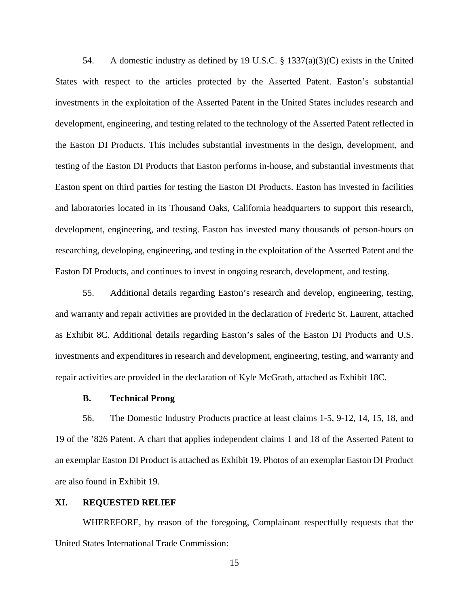54. A domestic industry as defined by 19 U.S.C.  $\S$  1337(a)(3)(C) exists in the United States with respect to the articles protected by the Asserted Patent. Easton's substantial investments in the exploitation of the Asserted Patent in the United States includes research and development, engineering, and testing related to the technology of the Asserted Patent reflected in the Easton DI Products. This includes substantial investments in the design, development, and testing of the Easton DI Products that Easton performs in-house, and substantial investments that Easton spent on third parties for testing the Easton DI Products. Easton has invested in facilities and laboratories located in its Thousand Oaks, California headquarters to support this research, development, engineering, and testing. Easton has invested many thousands of person-hours on researching, developing, engineering, and testing in the exploitation of the Asserted Patent and the Easton DI Products, and continues to invest in ongoing research, development, and testing.

55. Additional details regarding Easton's research and develop, engineering, testing, and warranty and repair activities are provided in the declaration of Frederic St. Laurent, attached as Exhibit 8C. Additional details regarding Easton's sales of the Easton DI Products and U.S. investments and expenditures in research and development, engineering, testing, and warranty and repair activities are provided in the declaration of Kyle McGrath, attached as Exhibit 18C.

#### **B. Technical Prong**

56. The Domestic Industry Products practice at least claims 1-5, 9-12, 14, 15, 18, and 19 of the '826 Patent. A chart that applies independent claims 1 and 18 of the Asserted Patent to an exemplar Easton DI Product is attached as Exhibit 19. Photos of an exemplar Easton DI Product are also found in Exhibit 19.

#### **XI. REQUESTED RELIEF**

WHEREFORE, by reason of the foregoing, Complainant respectfully requests that the United States International Trade Commission: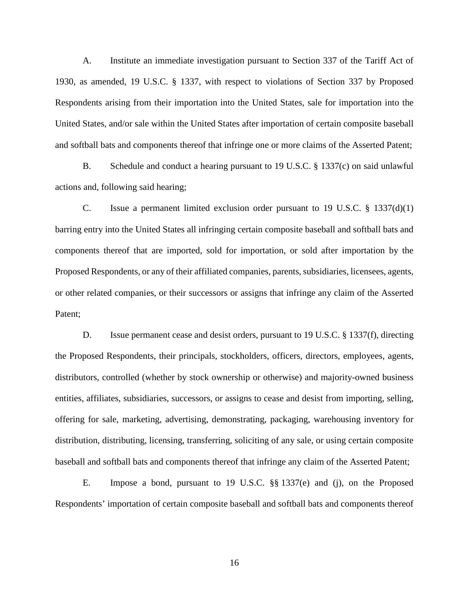A. Institute an immediate investigation pursuant to Section 337 of the Tariff Act of 1930, as amended, 19 U.S.C. § 1337, with respect to violations of Section 337 by Proposed Respondents arising from their importation into the United States, sale for importation into the United States, and/or sale within the United States after importation of certain composite baseball and softball bats and components thereof that infringe one or more claims of the Asserted Patent;

B. Schedule and conduct a hearing pursuant to 19 U.S.C. § 1337(c) on said unlawful actions and, following said hearing;

C. Issue a permanent limited exclusion order pursuant to 19 U.S.C.  $\S$  1337(d)(1) barring entry into the United States all infringing certain composite baseball and softball bats and components thereof that are imported, sold for importation, or sold after importation by the Proposed Respondents, or any of their affiliated companies, parents, subsidiaries, licensees, agents, or other related companies, or their successors or assigns that infringe any claim of the Asserted Patent;

D. Issue permanent cease and desist orders, pursuant to 19 U.S.C. § 1337(f), directing the Proposed Respondents, their principals, stockholders, officers, directors, employees, agents, distributors, controlled (whether by stock ownership or otherwise) and majority-owned business entities, affiliates, subsidiaries, successors, or assigns to cease and desist from importing, selling, offering for sale, marketing, advertising, demonstrating, packaging, warehousing inventory for distribution, distributing, licensing, transferring, soliciting of any sale, or using certain composite baseball and softball bats and components thereof that infringe any claim of the Asserted Patent;

E. Impose a bond, pursuant to 19 U.S.C. §§ 1337(e) and (j), on the Proposed Respondents' importation of certain composite baseball and softball bats and components thereof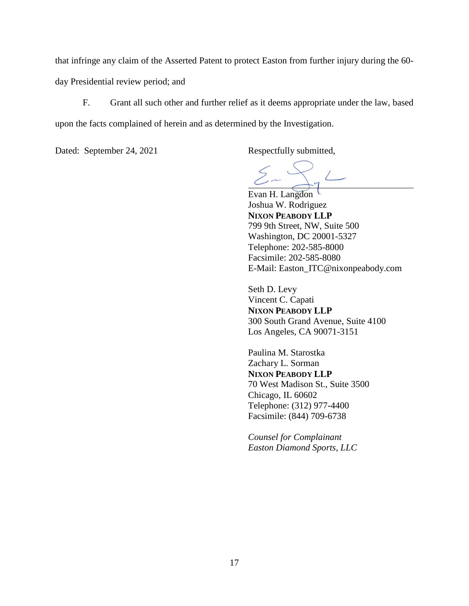that infringe any claim of the Asserted Patent to protect Easton from further injury during the 60 day Presidential review period; and

F. Grant all such other and further relief as it deems appropriate under the law, based upon the facts complained of herein and as determined by the Investigation.

Dated: September 24, 2021 Respectfully submitted,

Evan H. Langdon Joshua W. Rodriguez **NIXON PEABODY LLP**  799 9th Street, NW, Suite 500 Washington, DC 20001-5327 Telephone: 202-585-8000 Facsimile: 202-585-8080 E-Mail: Easton\_ITC@nixonpeabody.com

Seth D. Levy Vincent C. Capati **NIXON PEABODY LLP**  300 South Grand Avenue, Suite 4100 Los Angeles, CA 90071-3151

Paulina M. Starostka Zachary L. Sorman **NIXON PEABODY LLP**  70 West Madison St., Suite 3500 Chicago, IL 60602 Telephone: (312) 977-4400 Facsimile: (844) 709-6738

*Counsel for Complainant Easton Diamond Sports, LLC*